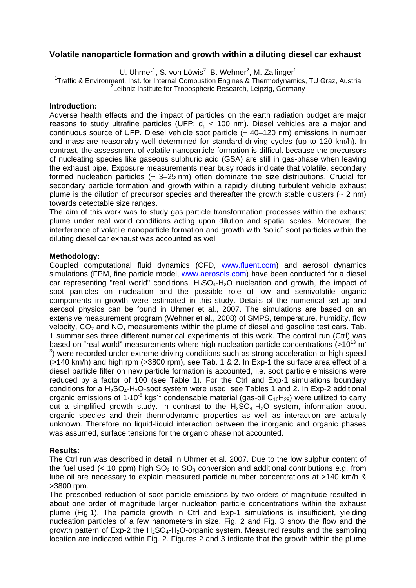# **Volatile nanoparticle formation and growth within a diluting diesel car exhaust**

U. Uhrner<sup>1</sup>, S. von Löwis<sup>2</sup>, B. Wehner<sup>2</sup>, M. Zallinger<sup>1</sup>

<sup>1</sup>Traffic & Environment, Inst. for Internal Combustion Engines & Thermodynamics, TU Graz, Austria 21 cibris Institute for Transcription Research Leinzig, Cormany  $2$ Leibniz Institute for Tropospheric Research, Leipzig, Germany

# **Introduction:**

Adverse health effects and the impact of particles on the earth radiation budget are major reasons to study ultrafine particles (UFP:  $d<sub>p</sub>$  < 100 nm). Diesel vehicles are a major and continuous source of UFP. Diesel vehicle soot particle (~ 40–120 nm) emissions in number and mass are reasonably well determined for standard driving cycles (up to 120 km/h). In contrast, the assessment of volatile nanoparticle formation is difficult because the precursors of nucleating species like gaseous sulphuric acid (GSA) are still in gas-phase when leaving the exhaust pipe. Exposure measurements near busy roads indicate that volatile, secondary formed nucleation particles  $(-3-25 \text{ nm})$  often dominate the size distributions. Crucial for secondary particle formation and growth within a rapidly diluting turbulent vehicle exhaust plume is the dilution of precursor species and thereafter the growth stable clusters  $(2 \text{ nm})$ towards detectable size ranges.

The aim of this work was to study gas particle transformation processes within the exhaust plume under real world conditions acting upon dilution and spatial scales. Moreover, the interference of volatile nanoparticle formation and growth with "solid" soot particles within the diluting diesel car exhaust was accounted as well.

# **Methodology:**

Coupled computational fluid dynamics (CFD, www.fluent.com) and aerosol dynamics simulations (FPM, fine particle model, www.aerosols.com) have been conducted for a diesel car representing "real world" conditions.  $H_2SO_4-H_2O$  nucleation and growth, the impact of soot particles on nucleation and the possible role of low and semivolatile organic components in growth were estimated in this study. Details of the numerical set-up and aerosol physics can be found in Uhrner et al., 2007. The simulations are based on an extensive measurement program (Wehner et al., 2008) of SMPS, temperature, humidity, flow velocity,  $CO<sub>2</sub>$  and NO<sub>x</sub> measurements within the plume of diesel and gasoline test cars. Tab. 1 summarises three different numerical experiments of this work. The control run (Ctrl) was based on "real world" measurements where high nucleation particle concentrations  $(>10^{13} \text{ m}^{-1})$  $3$ ) were recorded under extreme driving conditions such as strong acceleration or high speed (>140 km/h) and high rpm (>3800 rpm), see Tab. 1 & 2. In Exp-1 the surface area effect of a diesel particle filter on new particle formation is accounted, i.e. soot particle emissions were reduced by a factor of 100 (see Table 1). For the Ctrl and Exp-1 simulations boundary conditions for a  $H_2SO_4$ - $H_2O$ -soot system were used, see Tables 1 and 2. In Exp-2 additional organic emissions of  $1.10^{-6}$  kgs<sup>-1</sup> condensable material (gas-oil  $C_{16}H_{29}$ ) were utilized to carry out a simplified growth study. In contrast to the  $H_2SO_4-H_2O$  system, information about organic species and their thermodynamic properties as well as interaction are actually unknown. Therefore no liquid-liquid interaction between the inorganic and organic phases was assumed, surface tensions for the organic phase not accounted.

# **Results:**

The Ctrl run was described in detail in Uhrner et al. 2007. Due to the low sulphur content of the fuel used (< 10 ppm) high  $SO_2$  to  $SO_3$  conversion and additional contributions e.g. from lube oil are necessary to explain measured particle number concentrations at >140 km/h & >3800 rpm.

The prescribed reduction of soot particle emissions by two orders of magnitude resulted in about one order of magnitude larger nucleation particle concentrations within the exhaust plume (Fig.1). The particle growth in Ctrl and Exp-1 simulations is insufficient, yielding nucleation particles of a few nanometers in size. Fig. 2 and Fig. 3 show the flow and the growth pattern of Exp-2 the  $H_2SO_4-H_2O$ -organic system. Measured results and the sampling location are indicated within Fig. 2. Figures 2 and 3 indicate that the growth within the plume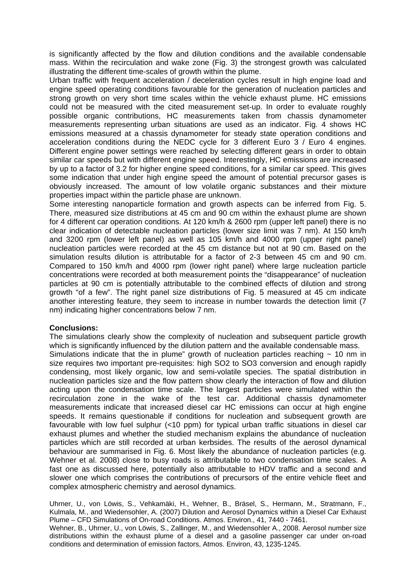is significantly affected by the flow and dilution conditions and the available condensable mass. Within the recirculation and wake zone (Fig. 3) the strongest growth was calculated illustrating the different time-scales of growth within the plume.

Urban traffic with frequent acceleration / deceleration cycles result in high engine load and engine speed operating conditions favourable for the generation of nucleation particles and strong growth on very short time scales within the vehicle exhaust plume. HC emissions could not be measured with the cited measurement set-up. In order to evaluate roughly possible organic contributions, HC measurements taken from chassis dynamometer measurements representing urban situations are used as an indicator. Fig. 4 shows HC emissions measured at a chassis dynamometer for steady state operation conditions and acceleration conditions during the NEDC cycle for 3 different Euro 3 / Euro 4 engines. Different engine power settings were reached by selecting different gears in order to obtain similar car speeds but with different engine speed. Interestingly, HC emissions are increased by up to a factor of 3.2 for higher engine speed conditions, for a similar car speed. This gives some indication that under high engine speed the amount of potential precursor gases is obviously increased. The amount of low volatile organic substances and their mixture properties impact within the particle phase are unknown.

Some interesting nanoparticle formation and growth aspects can be inferred from Fig. 5. There, measured size distributions at 45 cm and 90 cm within the exhaust plume are shown for 4 different car operation conditions. At 120 km/h & 2600 rpm (upper left panel) there is no clear indication of detectable nucleation particles (lower size limit was 7 nm). At 150 km/h and 3200 rpm (lower left panel) as well as 105 km/h and 4000 rpm (upper right panel) nucleation particles were recorded at the 45 cm distance but not at 90 cm. Based on the simulation results dilution is attributable for a factor of 2-3 between 45 cm and 90 cm. Compared to 150 km/h and 4000 rpm (lower right panel) where large nucleation particle concentrations were recorded at both measurement points the "disappearance" of nucleation particles at 90 cm is potentially attributable to the combined effects of dilution and strong growth "of a few". The right panel size distributions of Fig. 5 measured at 45 cm indicate another interesting feature, they seem to increase in number towards the detection limit (7 nm) indicating higher concentrations below 7 nm.

# **Conclusions:**

The simulations clearly show the complexity of nucleation and subsequent particle growth which is significantly influenced by the dilution pattern and the available condensable mass. Simulations indicate that the in plume" growth of nucleation particles reaching  $\sim$  10 nm in size requires two important pre-requisites: high SO2 to SO3 conversion and enough rapidly condensing, most likely organic, low and semi-volatile species. The spatial distribution in nucleation particles size and the flow pattern show clearly the interaction of flow and dilution acting upon the condensation time scale. The largest particles were simulated within the recirculation zone in the wake of the test car. Additional chassis dynamometer measurements indicate that increased diesel car HC emissions can occur at high engine speeds. It remains questionable if conditions for nucleation and subsequent growth are favourable with low fuel sulphur  $\left($  <10 ppm) for typical urban traffic situations in diesel car exhaust plumes and whether the studied mechanism explains the abundance of nucleation particles which are still recorded at urban kerbsides. The results of the aerosol dynamical behaviour are summarised in Fig. 6. Most likely the abundance of nucleation particles (e.g. Wehner et al. 2008) close to busy roads is attributable to two condensation time scales. A fast one as discussed here, potentially also attributable to HDV traffic and a second and slower one which comprises the contributions of precursors of the entire vehicle fleet and complex atmospheric chemistry and aerosol dynamics.

Uhrner, U., von Löwis, S., Vehkamäki, H., Wehner, B., Bräsel, S., Hermann, M., Stratmann, F., Kulmala, M., and Wiedensohler, A. (2007) Dilution and Aerosol Dynamics within a Diesel Car Exhaust Plume – CFD Simulations of On-road Conditions. Atmos. Environ., 41, 7440 - 7461.

Wehner, B., Uhrner, U., von Löwis, S., Zallinger, M., and Wiedensohler A., 2008. Aerosol number size distributions within the exhaust plume of a diesel and a gasoline passenger car under on-road conditions and determination of emission factors, Atmos. Environ, 43, 1235-1245.